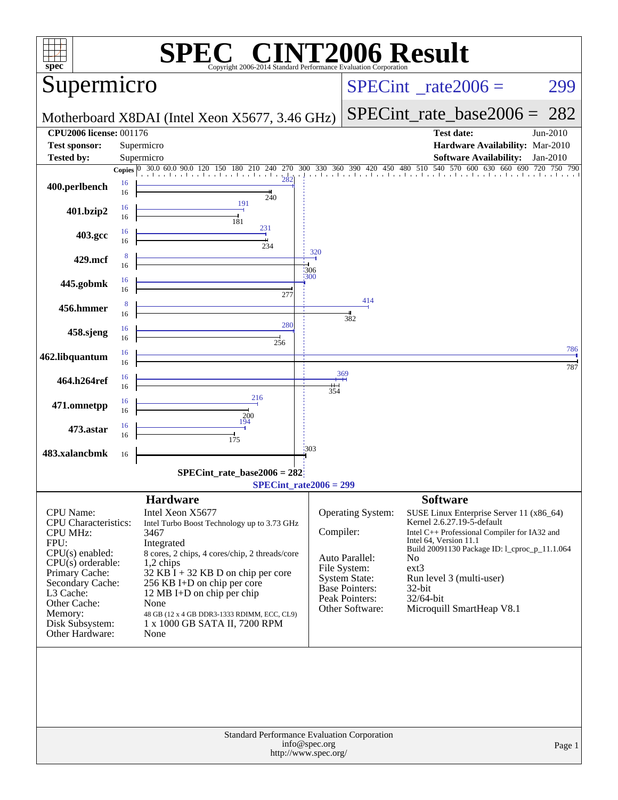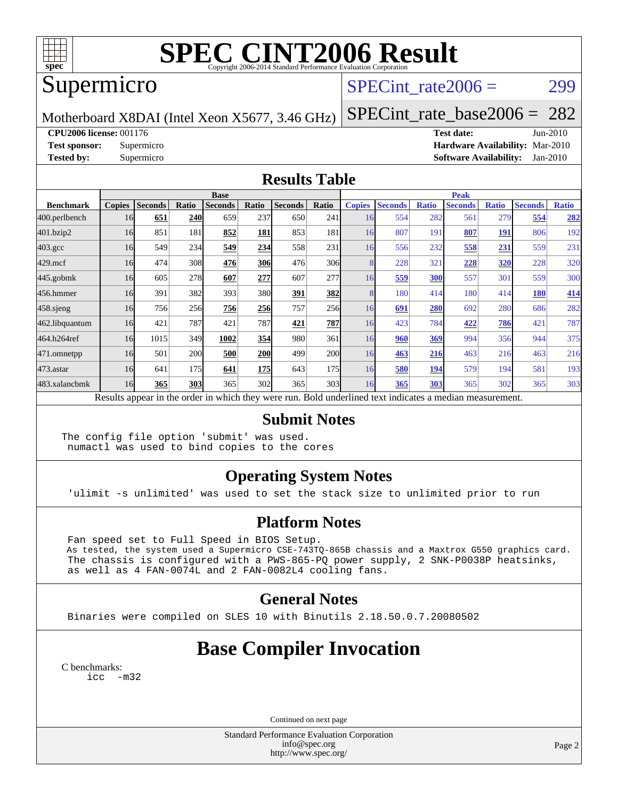

# **[SPEC CINT2006 Result](http://www.spec.org/auto/cpu2006/Docs/result-fields.html#SPECCINT2006Result)**

## Supermicro

### SPECint rate $2006 = 299$

Motherboard X8DAI (Intel Xeon X5677, 3.46 GHz)

[SPECint\\_rate\\_base2006 =](http://www.spec.org/auto/cpu2006/Docs/result-fields.html#SPECintratebase2006) 282

**[CPU2006 license:](http://www.spec.org/auto/cpu2006/Docs/result-fields.html#CPU2006license)** 001176 **[Test date:](http://www.spec.org/auto/cpu2006/Docs/result-fields.html#Testdate)** Jun-2010

**[Test sponsor:](http://www.spec.org/auto/cpu2006/Docs/result-fields.html#Testsponsor)** Supermicro **[Hardware Availability:](http://www.spec.org/auto/cpu2006/Docs/result-fields.html#HardwareAvailability)** Mar-2010 **[Tested by:](http://www.spec.org/auto/cpu2006/Docs/result-fields.html#Testedby)** Supermicro **[Software Availability:](http://www.spec.org/auto/cpu2006/Docs/result-fields.html#SoftwareAvailability)** Jan-2010

#### **[Results Table](http://www.spec.org/auto/cpu2006/Docs/result-fields.html#ResultsTable)**

|                    | <b>Base</b>   |                |       |                                                                                                          |            |                |                  |               | <b>Peak</b>    |              |                |              |                |              |  |
|--------------------|---------------|----------------|-------|----------------------------------------------------------------------------------------------------------|------------|----------------|------------------|---------------|----------------|--------------|----------------|--------------|----------------|--------------|--|
| <b>Benchmark</b>   | <b>Copies</b> | <b>Seconds</b> | Ratio | <b>Seconds</b>                                                                                           | Ratio      | <b>Seconds</b> | Ratio            | <b>Copies</b> | <b>Seconds</b> | <b>Ratio</b> | <b>Seconds</b> | <b>Ratio</b> | <b>Seconds</b> | <b>Ratio</b> |  |
| 400.perlbench      | 16            | 651            | 240   | 659                                                                                                      | 237        | 650            | 241              | 16            | 554            | 282          | 561            | 279          | 554            | 282          |  |
| 401.bzip2          | 16            | 851            | 181   | 852                                                                                                      | 181        | 853            | 181              | 16            | 807            | 191          | 807            | 191          | 806            | 192          |  |
| $403.\mathrm{gcc}$ | 16            | 549            | 234   | 549                                                                                                      | 234        | 558            | 231              | 16            | 556            | 232          | 558            | 231          | 559            | 231          |  |
| $429$ .mcf         | 16            | 474            | 308   | 476                                                                                                      | <b>306</b> | 476            | 306              |               | 228            | 321          | 228            | 320          | 228            | 320          |  |
| $445$ .gobmk       | 16            | 605            | 278   | 607                                                                                                      | 277        | 607            | 277              | 16            | 559            | 300          | 557            | 301          | 559            | 300          |  |
| 456.hmmer          | 16            | 391            | 382   | 393                                                                                                      | 380l       | 391            | 382              |               | 180            | 414          | 180            | 414          | 180            | 414          |  |
| 458 sjeng          | 16            | 756            | 256   | 756                                                                                                      | 256        | 757            | 256              | 16            | 691            | 280          | 692            | 280          | 686            | 282          |  |
| 462.libquantum     | 16            | 421            | 787   | 421                                                                                                      | 787        | 421            | 787              | 16            | 423            | 784          | 422            | 786          | 421            | 787          |  |
| 464.h264ref        | 16            | 1015           | 349   | 1002                                                                                                     | 354        | 980            | 361              | 16            | 960            | 369          | 994            | 356          | 944            | 375          |  |
| 471.omnetpp        | 16            | 501            | 200   | 500                                                                                                      | <b>200</b> | 499            | <b>200</b>       | 16            | 463            | 216          | 463            | 216          | 463            | 216          |  |
| $473.$ astar       | 16            | 641            | 175   | 641                                                                                                      | <b>175</b> | 643            | 175              | 16            | 580            | 194          | 579            | 194          | 581            | 193          |  |
| 483.xalancbmk      | 16            | 365            | 303   | 365                                                                                                      | 302        | 365            | 303 <sup>I</sup> | 16            | 365            | 303          | 365            | 302          | 365            | 303          |  |
|                    |               |                |       | Results appear in the order in which they were run. Bold underlined text indicates a median measurement. |            |                |                  |               |                |              |                |              |                |              |  |

#### **[Submit Notes](http://www.spec.org/auto/cpu2006/Docs/result-fields.html#SubmitNotes)**

The config file option 'submit' was used. numactl was used to bind copies to the cores

### **[Operating System Notes](http://www.spec.org/auto/cpu2006/Docs/result-fields.html#OperatingSystemNotes)**

'ulimit -s unlimited' was used to set the stack size to unlimited prior to run

#### **[Platform Notes](http://www.spec.org/auto/cpu2006/Docs/result-fields.html#PlatformNotes)**

 Fan speed set to Full Speed in BIOS Setup. As tested, the system used a Supermicro CSE-743TQ-865B chassis and a Maxtrox G550 graphics card. The chassis is configured with a PWS-865-PQ power supply, 2 SNK-P0038P heatsinks, as well as 4 FAN-0074L and 2 FAN-0082L4 cooling fans.

#### **[General Notes](http://www.spec.org/auto/cpu2006/Docs/result-fields.html#GeneralNotes)**

Binaries were compiled on SLES 10 with Binutils 2.18.50.0.7.20080502

## **[Base Compiler Invocation](http://www.spec.org/auto/cpu2006/Docs/result-fields.html#BaseCompilerInvocation)**

[C benchmarks](http://www.spec.org/auto/cpu2006/Docs/result-fields.html#Cbenchmarks): [icc -m32](http://www.spec.org/cpu2006/results/res2010q3/cpu2006-20100622-12008.flags.html#user_CCbase_intel_icc_32bit_5ff4a39e364c98233615fdd38438c6f2)

Continued on next page

Standard Performance Evaluation Corporation [info@spec.org](mailto:info@spec.org) <http://www.spec.org/>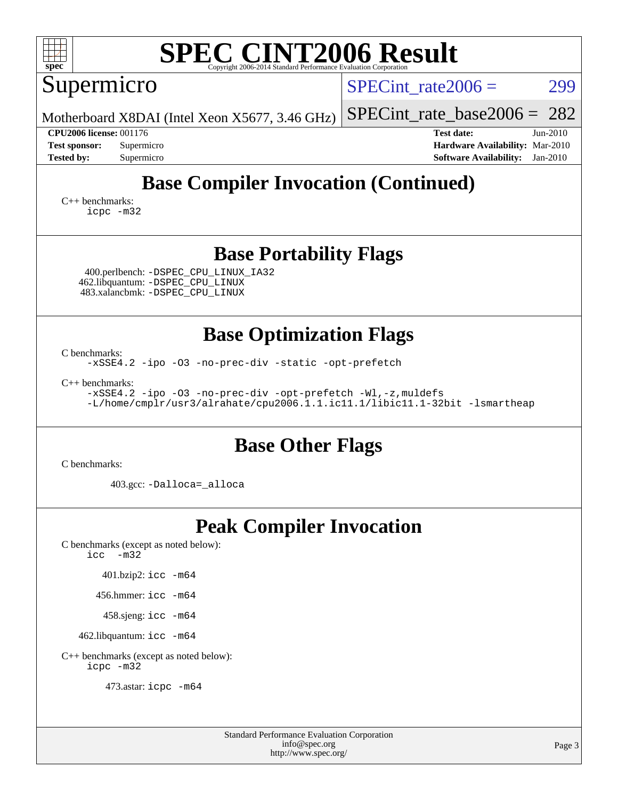| <b>SPEC CINT2006 Result</b><br>$spec^*$<br>Copyright 2006-2014 Standard Performance Evaluation Corporat                                                            |                                                                                                                 |  |  |  |  |  |  |  |
|--------------------------------------------------------------------------------------------------------------------------------------------------------------------|-----------------------------------------------------------------------------------------------------------------|--|--|--|--|--|--|--|
| Supermicro                                                                                                                                                         | $SPECint rate 2006 =$<br>299                                                                                    |  |  |  |  |  |  |  |
| Motherboard X8DAI (Intel Xeon X5677, 3.46 GHz)                                                                                                                     | 282<br>$SPECint_rate_base2006 =$                                                                                |  |  |  |  |  |  |  |
| <b>CPU2006 license: 001176</b><br><b>Test sponsor:</b><br>Supermicro<br><b>Tested by:</b><br>Supermicro                                                            | <b>Test date:</b><br>$Jun-2010$<br>Hardware Availability: Mar-2010<br><b>Software Availability:</b><br>Jan-2010 |  |  |  |  |  |  |  |
| <b>Base Compiler Invocation (Continued)</b><br>C++ benchmarks:<br>icpc -m32                                                                                        |                                                                                                                 |  |  |  |  |  |  |  |
| <b>Base Portability Flags</b><br>400.perlbench: -DSPEC_CPU_LINUX_IA32<br>462.libquantum: - DSPEC_CPU_LINUX<br>483.xalancbmk: -DSPEC_CPU_LINUX                      |                                                                                                                 |  |  |  |  |  |  |  |
| <b>Base Optimization Flags</b><br>C benchmarks:<br>-xSSE4.2 -ipo -03 -no-prec-div -static -opt-prefetch                                                            |                                                                                                                 |  |  |  |  |  |  |  |
| $C_{++}$ benchmarks:<br>-xSSE4.2 -ipo -03 -no-prec-div -opt-prefetch -Wl,-z, muldefs<br>-L/home/cmplr/usr3/alrahate/cpu2006.1.1.ic11.1/libic11.1-32bit -lsmartheap |                                                                                                                 |  |  |  |  |  |  |  |
| <b>Base Other Flags</b>                                                                                                                                            |                                                                                                                 |  |  |  |  |  |  |  |
| C benchmarks:                                                                                                                                                      |                                                                                                                 |  |  |  |  |  |  |  |
| 403.gcc: -Dalloca=_alloca                                                                                                                                          |                                                                                                                 |  |  |  |  |  |  |  |
| <b>Peak Compiler Invocation</b><br>C benchmarks (except as noted below):<br>$\text{icc}$ $-\text{m32}$                                                             |                                                                                                                 |  |  |  |  |  |  |  |
| 401.bzip2: icc -m64                                                                                                                                                |                                                                                                                 |  |  |  |  |  |  |  |
| 456.hmmer: icc -m64                                                                                                                                                |                                                                                                                 |  |  |  |  |  |  |  |
| 458.sjeng: icc -m64                                                                                                                                                |                                                                                                                 |  |  |  |  |  |  |  |
| 462.libquantum: icc -m64                                                                                                                                           |                                                                                                                 |  |  |  |  |  |  |  |

[C++ benchmarks \(except as noted below\):](http://www.spec.org/auto/cpu2006/Docs/result-fields.html#CXXbenchmarksexceptasnotedbelow) [icpc -m32](http://www.spec.org/cpu2006/results/res2010q3/cpu2006-20100622-12008.flags.html#user_CXXpeak_intel_icpc_32bit_4e5a5ef1a53fd332b3c49e69c3330699)

473.astar: [icpc -m64](http://www.spec.org/cpu2006/results/res2010q3/cpu2006-20100622-12008.flags.html#user_peakCXXLD473_astar_intel_icpc_64bit_fc66a5337ce925472a5c54ad6a0de310)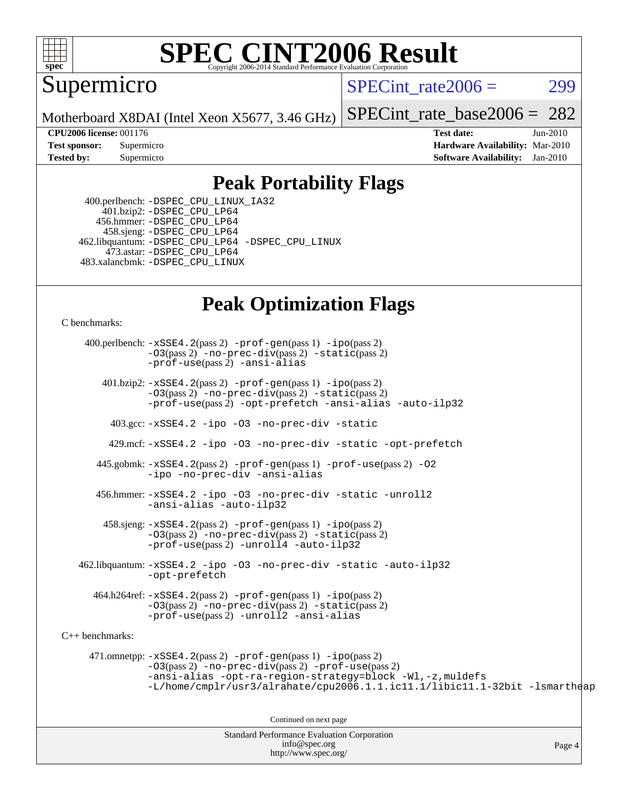

# **[SPEC CINT2006 Result](http://www.spec.org/auto/cpu2006/Docs/result-fields.html#SPECCINT2006Result)**

Supermicro

 $SPECint rate2006 = 299$ 

Motherboard X8DAI (Intel Xeon X5677, 3.46 GHz)

[SPECint\\_rate\\_base2006 =](http://www.spec.org/auto/cpu2006/Docs/result-fields.html#SPECintratebase2006) 282

**[CPU2006 license:](http://www.spec.org/auto/cpu2006/Docs/result-fields.html#CPU2006license)** 001176 **[Test date:](http://www.spec.org/auto/cpu2006/Docs/result-fields.html#Testdate)** Jun-2010 **[Test sponsor:](http://www.spec.org/auto/cpu2006/Docs/result-fields.html#Testsponsor)** Supermicro **[Hardware Availability:](http://www.spec.org/auto/cpu2006/Docs/result-fields.html#HardwareAvailability)** Mar-2010 **[Tested by:](http://www.spec.org/auto/cpu2006/Docs/result-fields.html#Testedby)** Supermicro **[Software Availability:](http://www.spec.org/auto/cpu2006/Docs/result-fields.html#SoftwareAvailability)** Jan-2010

### **[Peak Portability Flags](http://www.spec.org/auto/cpu2006/Docs/result-fields.html#PeakPortabilityFlags)**

 400.perlbench: [-DSPEC\\_CPU\\_LINUX\\_IA32](http://www.spec.org/cpu2006/results/res2010q3/cpu2006-20100622-12008.flags.html#b400.perlbench_peakCPORTABILITY_DSPEC_CPU_LINUX_IA32) 401.bzip2: [-DSPEC\\_CPU\\_LP64](http://www.spec.org/cpu2006/results/res2010q3/cpu2006-20100622-12008.flags.html#suite_peakCPORTABILITY401_bzip2_DSPEC_CPU_LP64) 456.hmmer: [-DSPEC\\_CPU\\_LP64](http://www.spec.org/cpu2006/results/res2010q3/cpu2006-20100622-12008.flags.html#suite_peakCPORTABILITY456_hmmer_DSPEC_CPU_LP64) 458.sjeng: [-DSPEC\\_CPU\\_LP64](http://www.spec.org/cpu2006/results/res2010q3/cpu2006-20100622-12008.flags.html#suite_peakCPORTABILITY458_sjeng_DSPEC_CPU_LP64) 462.libquantum: [-DSPEC\\_CPU\\_LP64](http://www.spec.org/cpu2006/results/res2010q3/cpu2006-20100622-12008.flags.html#suite_peakCPORTABILITY462_libquantum_DSPEC_CPU_LP64) [-DSPEC\\_CPU\\_LINUX](http://www.spec.org/cpu2006/results/res2010q3/cpu2006-20100622-12008.flags.html#b462.libquantum_peakCPORTABILITY_DSPEC_CPU_LINUX) 473.astar: [-DSPEC\\_CPU\\_LP64](http://www.spec.org/cpu2006/results/res2010q3/cpu2006-20100622-12008.flags.html#suite_peakCXXPORTABILITY473_astar_DSPEC_CPU_LP64) 483.xalancbmk: [-DSPEC\\_CPU\\_LINUX](http://www.spec.org/cpu2006/results/res2010q3/cpu2006-20100622-12008.flags.html#b483.xalancbmk_peakCXXPORTABILITY_DSPEC_CPU_LINUX)

## **[Peak Optimization Flags](http://www.spec.org/auto/cpu2006/Docs/result-fields.html#PeakOptimizationFlags)**

[C benchmarks](http://www.spec.org/auto/cpu2006/Docs/result-fields.html#Cbenchmarks):

Standard Performance Evaluation Corporation 400.perlbench: [-xSSE4.2](http://www.spec.org/cpu2006/results/res2010q3/cpu2006-20100622-12008.flags.html#user_peakPASS2_CFLAGSPASS2_LDCFLAGS400_perlbench_f-xSSE42_f91528193cf0b216347adb8b939d4107)(pass 2) [-prof-gen](http://www.spec.org/cpu2006/results/res2010q3/cpu2006-20100622-12008.flags.html#user_peakPASS1_CFLAGSPASS1_LDCFLAGS400_perlbench_prof_gen_e43856698f6ca7b7e442dfd80e94a8fc)(pass 1) [-ipo](http://www.spec.org/cpu2006/results/res2010q3/cpu2006-20100622-12008.flags.html#user_peakPASS2_CFLAGSPASS2_LDCFLAGS400_perlbench_f-ipo)(pass 2) [-O3](http://www.spec.org/cpu2006/results/res2010q3/cpu2006-20100622-12008.flags.html#user_peakPASS2_CFLAGSPASS2_LDCFLAGS400_perlbench_f-O3)(pass 2) [-no-prec-div](http://www.spec.org/cpu2006/results/res2010q3/cpu2006-20100622-12008.flags.html#user_peakPASS2_CFLAGSPASS2_LDCFLAGS400_perlbench_f-no-prec-div)(pass 2) [-static](http://www.spec.org/cpu2006/results/res2010q3/cpu2006-20100622-12008.flags.html#user_peakPASS2_CFLAGSPASS2_LDCFLAGS400_perlbench_f-static)(pass 2) [-prof-use](http://www.spec.org/cpu2006/results/res2010q3/cpu2006-20100622-12008.flags.html#user_peakPASS2_CFLAGSPASS2_LDCFLAGS400_perlbench_prof_use_bccf7792157ff70d64e32fe3e1250b55)(pass 2) [-ansi-alias](http://www.spec.org/cpu2006/results/res2010q3/cpu2006-20100622-12008.flags.html#user_peakCOPTIMIZE400_perlbench_f-ansi-alias) 401.bzip2: [-xSSE4.2](http://www.spec.org/cpu2006/results/res2010q3/cpu2006-20100622-12008.flags.html#user_peakPASS2_CFLAGSPASS2_LDCFLAGS401_bzip2_f-xSSE42_f91528193cf0b216347adb8b939d4107)(pass 2) [-prof-gen](http://www.spec.org/cpu2006/results/res2010q3/cpu2006-20100622-12008.flags.html#user_peakPASS1_CFLAGSPASS1_LDCFLAGS401_bzip2_prof_gen_e43856698f6ca7b7e442dfd80e94a8fc)(pass 1) [-ipo](http://www.spec.org/cpu2006/results/res2010q3/cpu2006-20100622-12008.flags.html#user_peakPASS2_CFLAGSPASS2_LDCFLAGS401_bzip2_f-ipo)(pass 2) [-O3](http://www.spec.org/cpu2006/results/res2010q3/cpu2006-20100622-12008.flags.html#user_peakPASS2_CFLAGSPASS2_LDCFLAGS401_bzip2_f-O3)(pass 2) [-no-prec-div](http://www.spec.org/cpu2006/results/res2010q3/cpu2006-20100622-12008.flags.html#user_peakPASS2_CFLAGSPASS2_LDCFLAGS401_bzip2_f-no-prec-div)(pass 2) [-static](http://www.spec.org/cpu2006/results/res2010q3/cpu2006-20100622-12008.flags.html#user_peakPASS2_CFLAGSPASS2_LDCFLAGS401_bzip2_f-static)(pass 2) [-prof-use](http://www.spec.org/cpu2006/results/res2010q3/cpu2006-20100622-12008.flags.html#user_peakPASS2_CFLAGSPASS2_LDCFLAGS401_bzip2_prof_use_bccf7792157ff70d64e32fe3e1250b55)(pass 2) [-opt-prefetch](http://www.spec.org/cpu2006/results/res2010q3/cpu2006-20100622-12008.flags.html#user_peakCOPTIMIZE401_bzip2_f-opt-prefetch) [-ansi-alias](http://www.spec.org/cpu2006/results/res2010q3/cpu2006-20100622-12008.flags.html#user_peakCOPTIMIZE401_bzip2_f-ansi-alias) [-auto-ilp32](http://www.spec.org/cpu2006/results/res2010q3/cpu2006-20100622-12008.flags.html#user_peakCOPTIMIZE401_bzip2_f-auto-ilp32) 403.gcc: [-xSSE4.2](http://www.spec.org/cpu2006/results/res2010q3/cpu2006-20100622-12008.flags.html#user_peakCOPTIMIZE403_gcc_f-xSSE42_f91528193cf0b216347adb8b939d4107) [-ipo](http://www.spec.org/cpu2006/results/res2010q3/cpu2006-20100622-12008.flags.html#user_peakCOPTIMIZE403_gcc_f-ipo) [-O3](http://www.spec.org/cpu2006/results/res2010q3/cpu2006-20100622-12008.flags.html#user_peakCOPTIMIZE403_gcc_f-O3) [-no-prec-div](http://www.spec.org/cpu2006/results/res2010q3/cpu2006-20100622-12008.flags.html#user_peakCOPTIMIZE403_gcc_f-no-prec-div) [-static](http://www.spec.org/cpu2006/results/res2010q3/cpu2006-20100622-12008.flags.html#user_peakCOPTIMIZE403_gcc_f-static) 429.mcf: [-xSSE4.2](http://www.spec.org/cpu2006/results/res2010q3/cpu2006-20100622-12008.flags.html#user_peakCOPTIMIZE429_mcf_f-xSSE42_f91528193cf0b216347adb8b939d4107) [-ipo](http://www.spec.org/cpu2006/results/res2010q3/cpu2006-20100622-12008.flags.html#user_peakCOPTIMIZE429_mcf_f-ipo) [-O3](http://www.spec.org/cpu2006/results/res2010q3/cpu2006-20100622-12008.flags.html#user_peakCOPTIMIZE429_mcf_f-O3) [-no-prec-div](http://www.spec.org/cpu2006/results/res2010q3/cpu2006-20100622-12008.flags.html#user_peakCOPTIMIZE429_mcf_f-no-prec-div) [-static](http://www.spec.org/cpu2006/results/res2010q3/cpu2006-20100622-12008.flags.html#user_peakCOPTIMIZE429_mcf_f-static) [-opt-prefetch](http://www.spec.org/cpu2006/results/res2010q3/cpu2006-20100622-12008.flags.html#user_peakCOPTIMIZE429_mcf_f-opt-prefetch) 445.gobmk: [-xSSE4.2](http://www.spec.org/cpu2006/results/res2010q3/cpu2006-20100622-12008.flags.html#user_peakPASS2_CFLAGSPASS2_LDCFLAGS445_gobmk_f-xSSE42_f91528193cf0b216347adb8b939d4107)(pass 2) [-prof-gen](http://www.spec.org/cpu2006/results/res2010q3/cpu2006-20100622-12008.flags.html#user_peakPASS1_CFLAGSPASS1_LDCFLAGS445_gobmk_prof_gen_e43856698f6ca7b7e442dfd80e94a8fc)(pass 1) [-prof-use](http://www.spec.org/cpu2006/results/res2010q3/cpu2006-20100622-12008.flags.html#user_peakPASS2_CFLAGSPASS2_LDCFLAGS445_gobmk_prof_use_bccf7792157ff70d64e32fe3e1250b55)(pass 2) [-O2](http://www.spec.org/cpu2006/results/res2010q3/cpu2006-20100622-12008.flags.html#user_peakCOPTIMIZE445_gobmk_f-O2) [-ipo](http://www.spec.org/cpu2006/results/res2010q3/cpu2006-20100622-12008.flags.html#user_peakCOPTIMIZE445_gobmk_f-ipo) [-no-prec-div](http://www.spec.org/cpu2006/results/res2010q3/cpu2006-20100622-12008.flags.html#user_peakCOPTIMIZE445_gobmk_f-no-prec-div) [-ansi-alias](http://www.spec.org/cpu2006/results/res2010q3/cpu2006-20100622-12008.flags.html#user_peakCOPTIMIZE445_gobmk_f-ansi-alias) 456.hmmer: [-xSSE4.2](http://www.spec.org/cpu2006/results/res2010q3/cpu2006-20100622-12008.flags.html#user_peakCOPTIMIZE456_hmmer_f-xSSE42_f91528193cf0b216347adb8b939d4107) [-ipo](http://www.spec.org/cpu2006/results/res2010q3/cpu2006-20100622-12008.flags.html#user_peakCOPTIMIZE456_hmmer_f-ipo) [-O3](http://www.spec.org/cpu2006/results/res2010q3/cpu2006-20100622-12008.flags.html#user_peakCOPTIMIZE456_hmmer_f-O3) [-no-prec-div](http://www.spec.org/cpu2006/results/res2010q3/cpu2006-20100622-12008.flags.html#user_peakCOPTIMIZE456_hmmer_f-no-prec-div) [-static](http://www.spec.org/cpu2006/results/res2010q3/cpu2006-20100622-12008.flags.html#user_peakCOPTIMIZE456_hmmer_f-static) [-unroll2](http://www.spec.org/cpu2006/results/res2010q3/cpu2006-20100622-12008.flags.html#user_peakCOPTIMIZE456_hmmer_f-unroll_784dae83bebfb236979b41d2422d7ec2) [-ansi-alias](http://www.spec.org/cpu2006/results/res2010q3/cpu2006-20100622-12008.flags.html#user_peakCOPTIMIZE456_hmmer_f-ansi-alias) [-auto-ilp32](http://www.spec.org/cpu2006/results/res2010q3/cpu2006-20100622-12008.flags.html#user_peakCOPTIMIZE456_hmmer_f-auto-ilp32)  $458 \text{.}$  sjeng:  $-xSSE4$ .  $2(\text{pass 2})$  -prof-qen(pass 1) [-ipo](http://www.spec.org/cpu2006/results/res2010q3/cpu2006-20100622-12008.flags.html#user_peakPASS2_CFLAGSPASS2_LDCFLAGS458_sjeng_f-ipo)(pass 2) [-O3](http://www.spec.org/cpu2006/results/res2010q3/cpu2006-20100622-12008.flags.html#user_peakPASS2_CFLAGSPASS2_LDCFLAGS458_sjeng_f-O3)(pass 2) [-no-prec-div](http://www.spec.org/cpu2006/results/res2010q3/cpu2006-20100622-12008.flags.html#user_peakPASS2_CFLAGSPASS2_LDCFLAGS458_sjeng_f-no-prec-div)(pass 2) [-static](http://www.spec.org/cpu2006/results/res2010q3/cpu2006-20100622-12008.flags.html#user_peakPASS2_CFLAGSPASS2_LDCFLAGS458_sjeng_f-static)(pass 2) [-prof-use](http://www.spec.org/cpu2006/results/res2010q3/cpu2006-20100622-12008.flags.html#user_peakPASS2_CFLAGSPASS2_LDCFLAGS458_sjeng_prof_use_bccf7792157ff70d64e32fe3e1250b55)(pass 2) [-unroll4](http://www.spec.org/cpu2006/results/res2010q3/cpu2006-20100622-12008.flags.html#user_peakCOPTIMIZE458_sjeng_f-unroll_4e5e4ed65b7fd20bdcd365bec371b81f) [-auto-ilp32](http://www.spec.org/cpu2006/results/res2010q3/cpu2006-20100622-12008.flags.html#user_peakCOPTIMIZE458_sjeng_f-auto-ilp32) 462.libquantum: [-xSSE4.2](http://www.spec.org/cpu2006/results/res2010q3/cpu2006-20100622-12008.flags.html#user_peakCOPTIMIZE462_libquantum_f-xSSE42_f91528193cf0b216347adb8b939d4107) [-ipo](http://www.spec.org/cpu2006/results/res2010q3/cpu2006-20100622-12008.flags.html#user_peakCOPTIMIZE462_libquantum_f-ipo) [-O3](http://www.spec.org/cpu2006/results/res2010q3/cpu2006-20100622-12008.flags.html#user_peakCOPTIMIZE462_libquantum_f-O3) [-no-prec-div](http://www.spec.org/cpu2006/results/res2010q3/cpu2006-20100622-12008.flags.html#user_peakCOPTIMIZE462_libquantum_f-no-prec-div) [-static](http://www.spec.org/cpu2006/results/res2010q3/cpu2006-20100622-12008.flags.html#user_peakCOPTIMIZE462_libquantum_f-static) [-auto-ilp32](http://www.spec.org/cpu2006/results/res2010q3/cpu2006-20100622-12008.flags.html#user_peakCOPTIMIZE462_libquantum_f-auto-ilp32) [-opt-prefetch](http://www.spec.org/cpu2006/results/res2010q3/cpu2006-20100622-12008.flags.html#user_peakCOPTIMIZE462_libquantum_f-opt-prefetch) 464.h264ref: [-xSSE4.2](http://www.spec.org/cpu2006/results/res2010q3/cpu2006-20100622-12008.flags.html#user_peakPASS2_CFLAGSPASS2_LDCFLAGS464_h264ref_f-xSSE42_f91528193cf0b216347adb8b939d4107)(pass 2) [-prof-gen](http://www.spec.org/cpu2006/results/res2010q3/cpu2006-20100622-12008.flags.html#user_peakPASS1_CFLAGSPASS1_LDCFLAGS464_h264ref_prof_gen_e43856698f6ca7b7e442dfd80e94a8fc)(pass 1) [-ipo](http://www.spec.org/cpu2006/results/res2010q3/cpu2006-20100622-12008.flags.html#user_peakPASS2_CFLAGSPASS2_LDCFLAGS464_h264ref_f-ipo)(pass 2) [-O3](http://www.spec.org/cpu2006/results/res2010q3/cpu2006-20100622-12008.flags.html#user_peakPASS2_CFLAGSPASS2_LDCFLAGS464_h264ref_f-O3)(pass 2) [-no-prec-div](http://www.spec.org/cpu2006/results/res2010q3/cpu2006-20100622-12008.flags.html#user_peakPASS2_CFLAGSPASS2_LDCFLAGS464_h264ref_f-no-prec-div)(pass 2) [-static](http://www.spec.org/cpu2006/results/res2010q3/cpu2006-20100622-12008.flags.html#user_peakPASS2_CFLAGSPASS2_LDCFLAGS464_h264ref_f-static)(pass 2) [-prof-use](http://www.spec.org/cpu2006/results/res2010q3/cpu2006-20100622-12008.flags.html#user_peakPASS2_CFLAGSPASS2_LDCFLAGS464_h264ref_prof_use_bccf7792157ff70d64e32fe3e1250b55)(pass 2) [-unroll2](http://www.spec.org/cpu2006/results/res2010q3/cpu2006-20100622-12008.flags.html#user_peakCOPTIMIZE464_h264ref_f-unroll_784dae83bebfb236979b41d2422d7ec2) [-ansi-alias](http://www.spec.org/cpu2006/results/res2010q3/cpu2006-20100622-12008.flags.html#user_peakCOPTIMIZE464_h264ref_f-ansi-alias) [C++ benchmarks:](http://www.spec.org/auto/cpu2006/Docs/result-fields.html#CXXbenchmarks) 471.omnetpp: [-xSSE4.2](http://www.spec.org/cpu2006/results/res2010q3/cpu2006-20100622-12008.flags.html#user_peakPASS2_CXXFLAGSPASS2_LDCXXFLAGS471_omnetpp_f-xSSE42_f91528193cf0b216347adb8b939d4107)(pass 2) [-prof-gen](http://www.spec.org/cpu2006/results/res2010q3/cpu2006-20100622-12008.flags.html#user_peakPASS1_CXXFLAGSPASS1_LDCXXFLAGS471_omnetpp_prof_gen_e43856698f6ca7b7e442dfd80e94a8fc)(pass 1) [-ipo](http://www.spec.org/cpu2006/results/res2010q3/cpu2006-20100622-12008.flags.html#user_peakPASS2_CXXFLAGSPASS2_LDCXXFLAGS471_omnetpp_f-ipo)(pass 2) [-O3](http://www.spec.org/cpu2006/results/res2010q3/cpu2006-20100622-12008.flags.html#user_peakPASS2_CXXFLAGSPASS2_LDCXXFLAGS471_omnetpp_f-O3)(pass 2) [-no-prec-div](http://www.spec.org/cpu2006/results/res2010q3/cpu2006-20100622-12008.flags.html#user_peakPASS2_CXXFLAGSPASS2_LDCXXFLAGS471_omnetpp_f-no-prec-div)(pass 2) [-prof-use](http://www.spec.org/cpu2006/results/res2010q3/cpu2006-20100622-12008.flags.html#user_peakPASS2_CXXFLAGSPASS2_LDCXXFLAGS471_omnetpp_prof_use_bccf7792157ff70d64e32fe3e1250b55)(pass 2) [-ansi-alias](http://www.spec.org/cpu2006/results/res2010q3/cpu2006-20100622-12008.flags.html#user_peakCXXOPTIMIZE471_omnetpp_f-ansi-alias) [-opt-ra-region-strategy=block](http://www.spec.org/cpu2006/results/res2010q3/cpu2006-20100622-12008.flags.html#user_peakCXXOPTIMIZE471_omnetpp_f-opt-ra-region-strategy-block_a0a37c372d03933b2a18d4af463c1f69) [-Wl,-z,muldefs](http://www.spec.org/cpu2006/results/res2010q3/cpu2006-20100622-12008.flags.html#user_peakEXTRA_LDFLAGS471_omnetpp_link_force_multiple1_74079c344b956b9658436fd1b6dd3a8a) [-L/home/cmplr/usr3/alrahate/cpu2006.1.1.ic11.1/libic11.1-32bit -lsmartheap](http://www.spec.org/cpu2006/results/res2010q3/cpu2006-20100622-12008.flags.html#user_peakEXTRA_LIBS471_omnetpp_SmartHeap_d86dffe4a79b79ef8890d5cce17030c3) Continued on next page

[info@spec.org](mailto:info@spec.org) <http://www.spec.org/>

Page 4